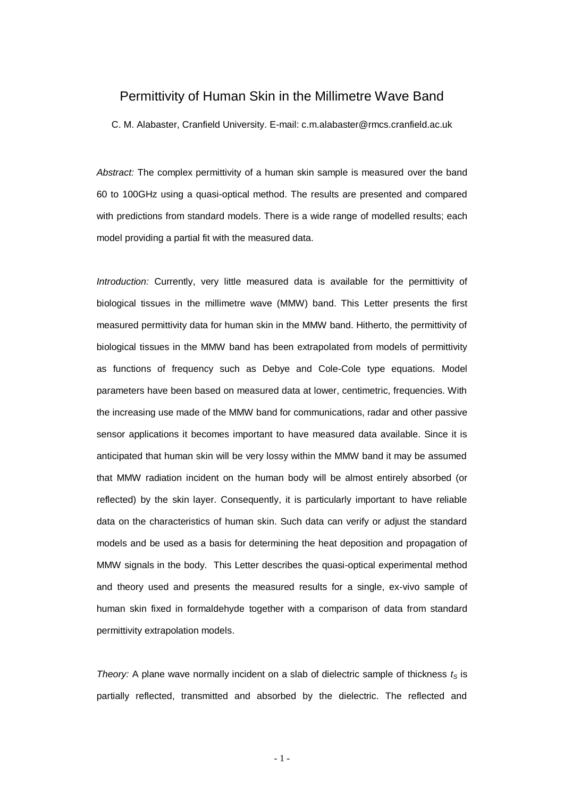## Permittivity of Human Skin in the Millimetre Wave Band

C. M. Alabaster, Cranfield University. E-mail: c.m.alabaster@rmcs.cranfield.ac.uk

*Abstract:* The complex permittivity of a human skin sample is measured over the band 60 to 100GHz using a quasi-optical method. The results are presented and compared with predictions from standard models. There is a wide range of modelled results; each model providing a partial fit with the measured data.

*Introduction:* Currently, very little measured data is available for the permittivity of biological tissues in the millimetre wave (MMW) band. This Letter presents the first measured permittivity data for human skin in the MMW band. Hitherto, the permittivity of biological tissues in the MMW band has been extrapolated from models of permittivity as functions of frequency such as Debye and Cole-Cole type equations. Model parameters have been based on measured data at lower, centimetric, frequencies. With the increasing use made of the MMW band for communications, radar and other passive sensor applications it becomes important to have measured data available. Since it is anticipated that human skin will be very lossy within the MMW band it may be assumed that MMW radiation incident on the human body will be almost entirely absorbed (or reflected) by the skin layer. Consequently, it is particularly important to have reliable data on the characteristics of human skin. Such data can verify or adjust the standard models and be used as a basis for determining the heat deposition and propagation of MMW signals in the body. This Letter describes the quasi-optical experimental method and theory used and presents the measured results for a single, ex-vivo sample of human skin fixed in formaldehyde together with a comparison of data from standard permittivity extrapolation models.

*Theory:* A plane wave normally incident on a slab of dielectric sample of thickness  $t<sub>S</sub>$  is partially reflected, transmitted and absorbed by the dielectric. The reflected and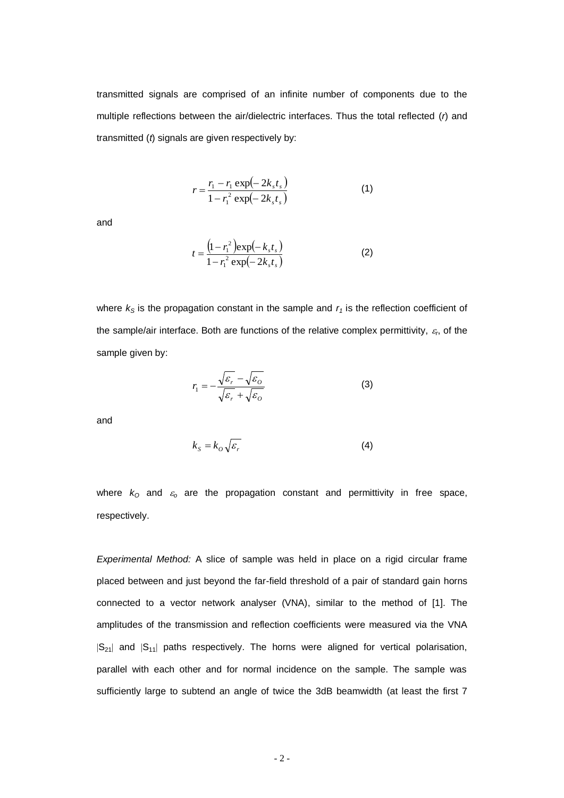transmitted signals are comprised of an infinite number of components due to the multiple reflections between the air/dielectric interfaces. Thus the total reflected (*r*) and transmitted (*t*) signals are given respectively by:

$$
r = \frac{r_1 - r_1 \exp(-2k_s t_s)}{1 - r_1^2 \exp(-2k_s t_s)}
$$
(1)

and

$$
t = \frac{\left(1 - r_1^2\right) \exp\left(-k_s t_s\right)}{1 - r_1^2 \exp\left(-2k_s t_s\right)}\tag{2}
$$

where  $k<sub>S</sub>$  is the propagation constant in the sample and  $r<sub>1</sub>$  is the reflection coefficient of the sample/air interface. Both are functions of the relative complex permittivity,  $\varepsilon_{\sf n}$  of the sample given by:

$$
r_1 = -\frac{\sqrt{\varepsilon_r} - \sqrt{\varepsilon_o}}{\sqrt{\varepsilon_r} + \sqrt{\varepsilon_o}}
$$
 (3)

and

$$
k_{S} = k_{O} \sqrt{\varepsilon_{r}} \tag{4}
$$

where  $k_0$  and  $\varepsilon_0$  are the propagation constant and permittivity in free space, respectively.

*Experimental Method:* A slice of sample was held in place on a rigid circular frame placed between and just beyond the far-field threshold of a pair of standard gain horns connected to a vector network analyser (VNA), similar to the method of [1]. The amplitudes of the transmission and reflection coefficients were measured via the VNA  $|S_{21}|$  and  $|S_{11}|$  paths respectively. The horns were aligned for vertical polarisation, parallel with each other and for normal incidence on the sample. The sample was sufficiently large to subtend an angle of twice the 3dB beamwidth (at least the first 7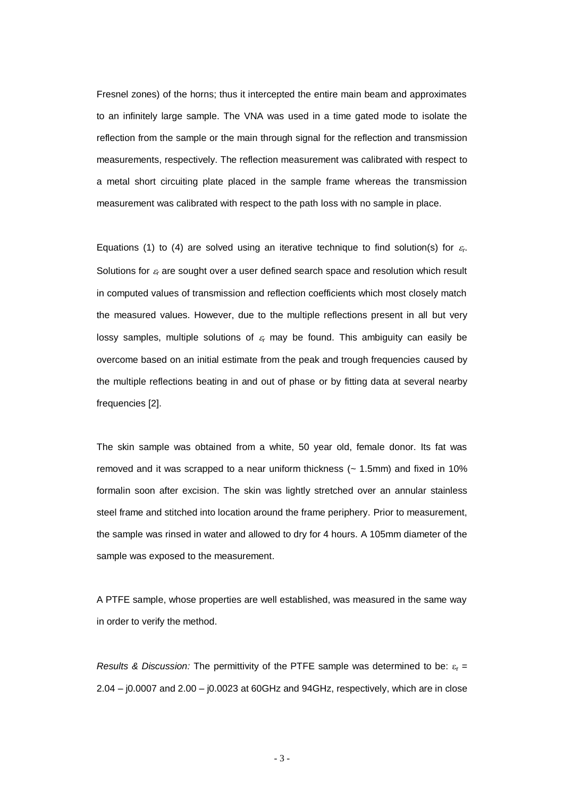Fresnel zones) of the horns; thus it intercepted the entire main beam and approximates to an infinitely large sample. The VNA was used in a time gated mode to isolate the reflection from the sample or the main through signal for the reflection and transmission measurements, respectively. The reflection measurement was calibrated with respect to a metal short circuiting plate placed in the sample frame whereas the transmission measurement was calibrated with respect to the path loss with no sample in place.

Equations (1) to (4) are solved using an iterative technique to find solution(s) for  $\varepsilon_r$ . Solutions for  $\varepsilon<sub>r</sub>$  are sought over a user defined search space and resolution which result in computed values of transmission and reflection coefficients which most closely match the measured values. However, due to the multiple reflections present in all but very lossy samples, multiple solutions of  $\varepsilon_r$  may be found. This ambiguity can easily be overcome based on an initial estimate from the peak and trough frequencies caused by the multiple reflections beating in and out of phase or by fitting data at several nearby frequencies [2].

The skin sample was obtained from a white, 50 year old, female donor. Its fat was removed and it was scrapped to a near uniform thickness (~ 1.5mm) and fixed in 10% formalin soon after excision. The skin was lightly stretched over an annular stainless steel frame and stitched into location around the frame periphery. Prior to measurement, the sample was rinsed in water and allowed to dry for 4 hours. A 105mm diameter of the sample was exposed to the measurement.

A PTFE sample, whose properties are well established, was measured in the same way in order to verify the method.

*Results* & *Discussion:* The permittivity of the PTFE sample was determined to be:  $\varepsilon_r =$ 2.04 – j0.0007 and 2.00 – j0.0023 at 60GHz and 94GHz, respectively, which are in close

- 3 -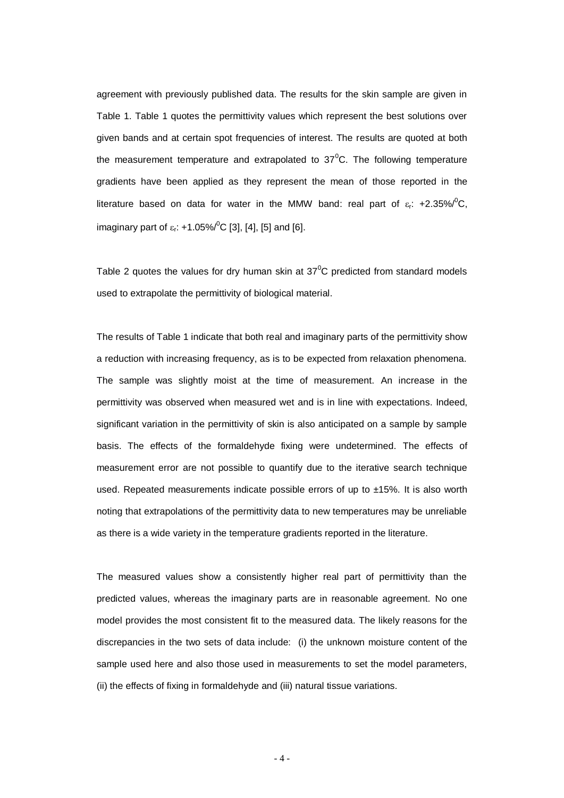agreement with previously published data. The results for the skin sample are given in Table 1. Table 1 quotes the permittivity values which represent the best solutions over given bands and at certain spot frequencies of interest. The results are quoted at both the measurement temperature and extrapolated to  $37^{\circ}$ C. The following temperature gradients have been applied as they represent the mean of those reported in the literature based on data for water in the MMW band: real part of  $\varepsilon_r$ : +2.35%/<sup>0</sup>C, imaginary part of  $\varepsilon_r$ : +1.05%/<sup>0</sup>C [3], [4], [5] and [6].

Table 2 quotes the values for dry human skin at  $37^{\circ}$ C predicted from standard models used to extrapolate the permittivity of biological material.

The results of Table 1 indicate that both real and imaginary parts of the permittivity show a reduction with increasing frequency, as is to be expected from relaxation phenomena. The sample was slightly moist at the time of measurement. An increase in the permittivity was observed when measured wet and is in line with expectations. Indeed, significant variation in the permittivity of skin is also anticipated on a sample by sample basis. The effects of the formaldehyde fixing were undetermined. The effects of measurement error are not possible to quantify due to the iterative search technique used. Repeated measurements indicate possible errors of up to ±15%. It is also worth noting that extrapolations of the permittivity data to new temperatures may be unreliable as there is a wide variety in the temperature gradients reported in the literature.

The measured values show a consistently higher real part of permittivity than the predicted values, whereas the imaginary parts are in reasonable agreement. No one model provides the most consistent fit to the measured data. The likely reasons for the discrepancies in the two sets of data include: (i) the unknown moisture content of the sample used here and also those used in measurements to set the model parameters, (ii) the effects of fixing in formaldehyde and (iii) natural tissue variations.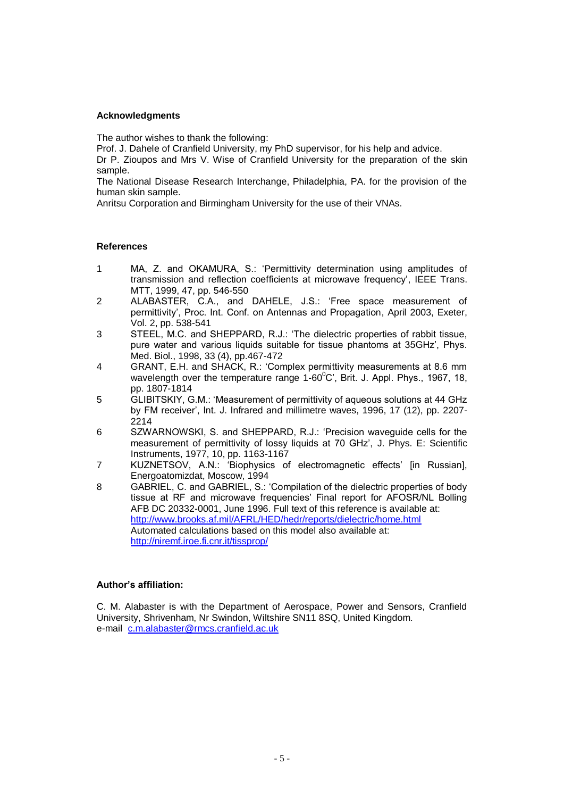### **Acknowledgments**

The author wishes to thank the following:

Prof. J. Dahele of Cranfield University, my PhD supervisor, for his help and advice.

Dr P. Zioupos and Mrs V. Wise of Cranfield University for the preparation of the skin sample.

The National Disease Research Interchange, Philadelphia, PA. for the provision of the human skin sample.

Anritsu Corporation and Birmingham University for the use of their VNAs.

### **References**

- 1 MA, Z. and OKAMURA, S.: 'Permittivity determination using amplitudes of transmission and reflection coefficients at microwave frequency', IEEE Trans. MTT, 1999, 47, pp. 546-550
- 2 ALABASTER, C.A., and DAHELE, J.S.: 'Free space measurement of permittivity', Proc. Int. Conf. on Antennas and Propagation, April 2003, Exeter, Vol. 2, pp. 538-541
- 3 STEEL, M.C. and SHEPPARD, R.J.: 'The dielectric properties of rabbit tissue, pure water and various liquids suitable for tissue phantoms at 35GHz', Phys. Med. Biol., 1998, 33 (4), pp.467-472
- 4 GRANT, E.H. and SHACK, R.: 'Complex permittivity measurements at 8.6 mm wavelength over the temperature range  $1-60^{\circ}$ C', Brit. J. Appl. Phys., 1967, 18, pp. 1807-1814
- 5 GLIBITSKIY, G.M.: 'Measurement of permittivity of aqueous solutions at 44 GHz by FM receiver', Int. J. Infrared and millimetre waves, 1996, 17 (12), pp. 2207- 2214
- 6 SZWARNOWSKI, S. and SHEPPARD, R.J.: 'Precision waveguide cells for the measurement of permittivity of lossy liquids at 70 GHz', J. Phys. E: Scientific Instruments, 1977, 10, pp. 1163-1167
- 7 KUZNETSOV, A.N.: 'Biophysics of electromagnetic effects' [in Russian], Energoatomizdat, Moscow, 1994
- 8 GABRIEL, C. and GABRIEL, S.: 'Compilation of the dielectric properties of body tissue at RF and microwave frequencies' Final report for AFOSR/NL Bolling AFB DC 20332-0001, June 1996. Full text of this reference is available at: <http://www.brooks.af.mil/AFRL/HED/hedr/reports/dielectric/home.html> Automated calculations based on this model also available at: <http://niremf.iroe.fi.cnr.it/tissprop/>

#### **Author's affiliation:**

C. M. Alabaster is with the Department of Aerospace, Power and Sensors, Cranfield University, Shrivenham, Nr Swindon, Wiltshire SN11 8SQ, United Kingdom. e-mail [c.m.alabaster@rmcs.cranfield.ac.uk](mailto:c.m.alabaster@rmcs.cranfield.ac.uk)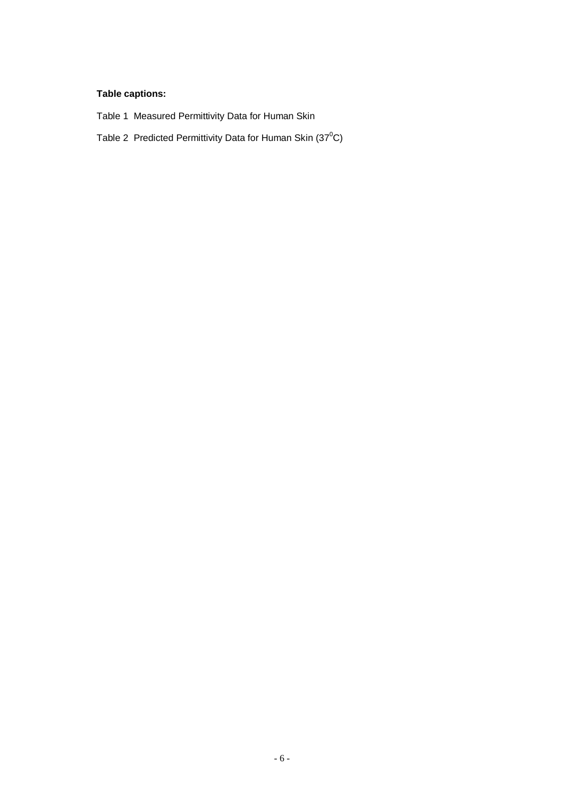# **Table captions:**

- Table 1 Measured Permittivity Data for Human Skin
- Table 2 Predicted Permittivity Data for Human Skin  $(37^0C)$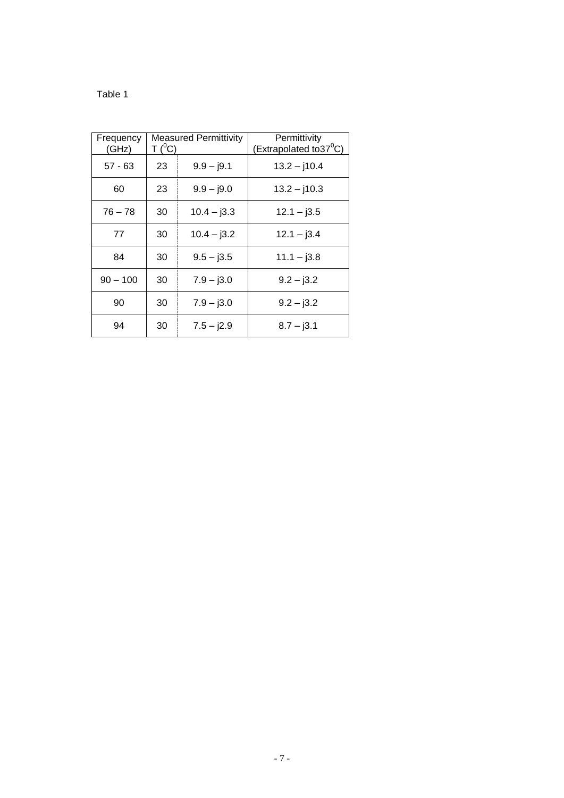### Table 1

| Frequency<br>(GHz) | <b>Measured Permittivity</b><br>$T(^0C)$ |               | Permittivity<br>(Extrapolated to 37 $\mathrm{^0C}$ ) |  |
|--------------------|------------------------------------------|---------------|------------------------------------------------------|--|
| $57 - 63$          | 23                                       | $9.9 - j9.1$  | $13.2 - j10.4$                                       |  |
| 60                 | 23                                       | $9.9 - j9.0$  | $13.2 - j10.3$                                       |  |
| $76 - 78$          | 30                                       | $10.4 - j3.3$ | $12.1 - 13.5$                                        |  |
| 77                 | 30                                       | $10.4 - j3.2$ | $12.1 - j3.4$                                        |  |
| 84                 | 30                                       | $9.5 - j3.5$  | $11.1 - j3.8$                                        |  |
| $90 - 100$         | 30                                       | $7.9 - j3.0$  | $9.2 - j3.2$                                         |  |
| 90                 | 30                                       | $7.9 - j3.0$  | $9.2 - j3.2$                                         |  |
| 94                 | 30                                       | $7.5 - j2.9$  | $8.7 - j3.1$                                         |  |